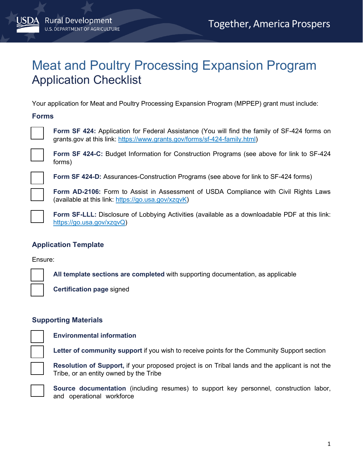# Meat and Poultry Processing Expansion Program Application Checklist

Your application for Meat and Poultry Processing Expansion Program (MPPEP) grant must include:

#### **Forms**



 **Form SF 424:** Application for Federal Assistance (You will find the family of SF-424 forms on [grants.gov](https://grants.gov) at this link: [https://www.grants.gov/forms/sf-424-family.html\)](https://www.grants.gov/forms/sf-424-family.html)

 **Form SF 424-C:** Budget Information for Construction Programs (see above for link to SF-424 forms)

**Form SF 424-D:** Assurances-Construction Programs (see above for link to SF-424 forms)

 **Form AD-2106:** Form to Assist in Assessment of USDA Compliance with Civil Rights Laws (available at this link: <u>https://go.usa.gov/xzqvK</u>)

 **Form SF-LLL:** Disclosure of Lobbying Activities (available as a downloadable PDF at this link: [https://go.usa.gov/xzqvQ\)](https://go.usa.gov/xzqvQ)

## **Application Template**

Ensure:

 **All template sections are completed** with supporting documentation, as applicable

**Certification page** signed

## **Supporting Materials**

 $\sim$  10  $\pm$ 

**Environmental information** 

**Letter of community support** if you wish to receive points for the Community Support section

**Resolution of Support,** if your proposed project is on Tribal lands and the applicant is not the Tribe, or an entity owned by the Tribe

**Source documentation** (including resumes) to support key personnel, construction labor, and operational workforce